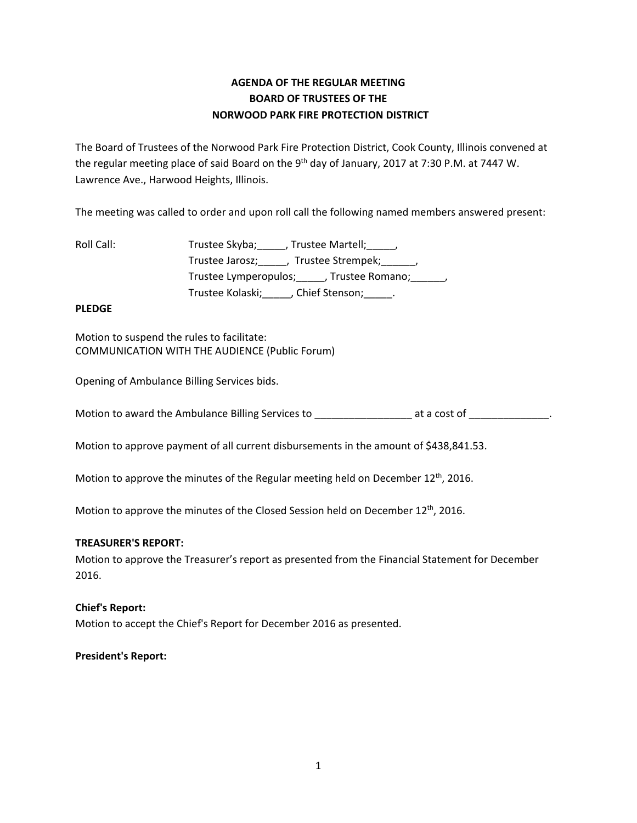# **AGENDA OF THE REGULAR MEETING BOARD OF TRUSTEES OF THE NORWOOD PARK FIRE PROTECTION DISTRICT**

The Board of Trustees of the Norwood Park Fire Protection District, Cook County, Illinois convened at the regular meeting place of said Board on the 9<sup>th</sup> day of January, 2017 at 7:30 P.M. at 7447 W. Lawrence Ave., Harwood Heights, Illinois.

The meeting was called to order and upon roll call the following named members answered present:

| Roll Call: | Trustee Skyba; , Trustee Martell; ,                         |
|------------|-------------------------------------------------------------|
|            | Trustee Jarosz; _____, Trustee Strempek; ______,            |
|            | Trustee Lymperopulos; Frustee Romano; Frustee Lymperopulos; |
|            | Trustee Kolaski; Chief Stenson;                             |

## **PLEDGE**

Motion to suspend the rules to facilitate: COMMUNICATION WITH THE AUDIENCE (Public Forum)

Opening of Ambulance Billing Services bids.

Motion to award the Ambulance Billing Services to example at a cost of the same of  $\blacksquare$ 

Motion to approve payment of all current disbursements in the amount of \$438,841.53.

Motion to approve the minutes of the Regular meeting held on December 12<sup>th</sup>, 2016.

Motion to approve the minutes of the Closed Session held on December 12<sup>th</sup>, 2016.

## **TREASURER'S REPORT:**

Motion to approve the Treasurer's report as presented from the Financial Statement for December 2016.

## **Chief's Report:**

Motion to accept the Chief's Report for December 2016 as presented.

## **President's Report:**